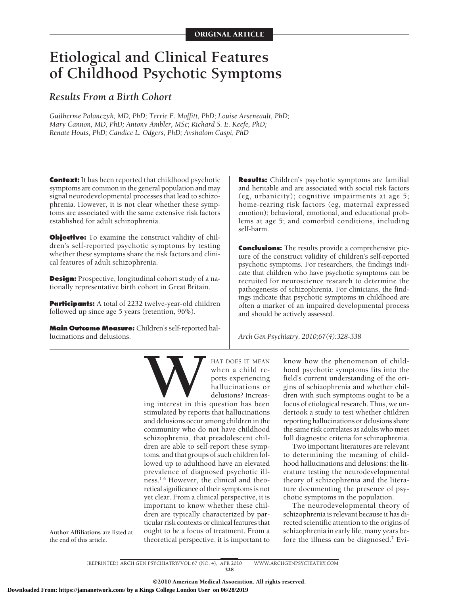# **Etiological and Clinical Features of Childhood Psychotic Symptoms**

## *Results From a Birth Cohort*

*Guilherme Polanczyk, MD, PhD; Terrie E. Moffitt, PhD; Louise Arseneault, PhD; Mary Cannon, MD, PhD; Antony Ambler, MSc; Richard S. E. Keefe, PhD; Renate Houts, PhD; Candice L. Odgers, PhD; Avshalom Caspi, PhD*

**Context:** It has been reported that childhood psychotic symptoms are common in the general population and may signal neurodevelopmental processes that lead to schizophrenia. However, it is not clear whether these symptoms are associated with the same extensive risk factors established for adult schizophrenia.

**Objective:** To examine the construct validity of children's self-reported psychotic symptoms by testing whether these symptoms share the risk factors and clinical features of adult schizophrenia.

**Design:** Prospective, longitudinal cohort study of a nationally representative birth cohort in Great Britain.

**Participants:** A total of 2232 twelve-year-old children followed up since age 5 years (retention, 96%).

**Main Outcome Measure:** Children's self-reported hallucinations and delusions.

**Results:** Children's psychotic symptoms are familial and heritable and are associated with social risk factors (eg, urbanicity); cognitive impairments at age 5; home-rearing risk factors (eg, maternal expressed emotion); behavioral, emotional, and educational problems at age 5; and comorbid conditions, including self-harm.

**Conclusions:** The results provide a comprehensive picture of the construct validity of children's self-reported psychotic symptoms. For researchers, the findings indicate that children who have psychotic symptoms can be recruited for neuroscience research to determine the pathogenesis of schizophrenia. For clinicians, the findings indicate that psychotic symptoms in childhood are often a marker of an impaired developmental process and should be actively assessed.

*Arch Gen Psychiatry. 2010;67(4):328-338*



when a child reports experiencing hallucinations or delusions? Increas-

stimulated by reports that hallucinations and delusions occur among children in the community who do not have childhood schizophrenia, that preadolescent children are able to self-report these symptoms, and that groups of such children followed up to adulthood have an elevated prevalence of diagnosed psychotic illness.1-6 However, the clinical and theoretical significance of their symptoms is not yet clear. From a clinical perspective, it is important to know whether these children are typically characterized by particular risk contexts or clinical features that ought to be a focus of treatment. From a theoretical perspective, it is important to

know how the phenomenon of childhood psychotic symptoms fits into the field's current understanding of the origins of schizophrenia and whether children with such symptoms ought to be a focus of etiological research. Thus, we undertook a study to test whether children reporting hallucinations or delusions share the same risk correlates as adults who meet full diagnostic criteria for schizophrenia.

Two important literatures are relevant to determining the meaning of childhood hallucinations and delusions: the literature testing the neurodevelopmental theory of schizophrenia and the literature documenting the presence of psychotic symptoms in the population.

The neurodevelopmental theory of schizophrenia is relevant because it has directed scientific attention to the origins of schizophrenia in early life, many years before the illness can be diagnosed.<sup>7</sup> Evi-

(REPRINTED) ARCH GEN PSYCHIATRY/ VOL 67 (NO. 4), APR 2010 WWW.ARCHGENPSYCHIATRY.COM 328

**Author Affiliations** are listed at the end of this article.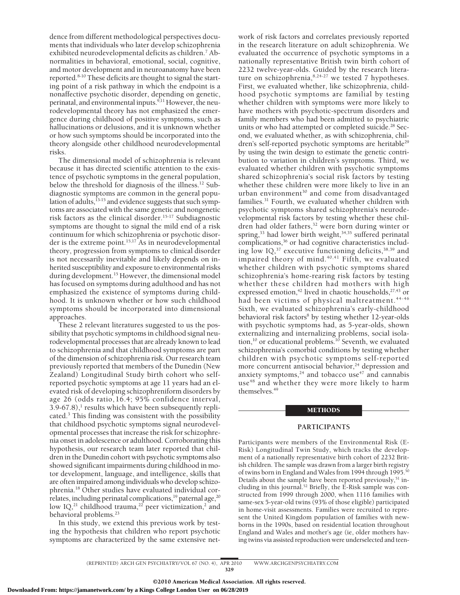dence from different methodological perspectives documents that individuals who later develop schizophrenia exhibited neurodevelopmental deficits as children.<sup>7</sup> Abnormalities in behavioral, emotional, social, cognitive, and motor development and in neuroanatomy have been reported.8-10 These deficits are thought to signal the starting point of a risk pathway in which the endpoint is a nonaffective psychotic disorder, depending on genetic, perinatal, and environmental inputs.<sup>9,11</sup> However, the neurodevelopmental theory has not emphasized the emergence during childhood of positive symptoms, such as hallucinations or delusions, and it is unknown whether or how such symptoms should be incorporated into the theory alongside other childhood neurodevelopmental risks.

The dimensional model of schizophrenia is relevant because it has directed scientific attention to the existence of psychotic symptoms in the general population, below the threshold for diagnosis of the illness.12 Subdiagnostic symptoms are common in the general population of adults, $^{13-15}$  and evidence suggests that such symptoms are associated with the same genetic and nongenetic risk factors as the clinical disorder.<sup>15-17</sup> Subdiagnostic symptoms are thought to signal the mild end of a risk continuum for which schizophrenia or psychotic disorder is the extreme point.<sup>15,17</sup> As in neurodevelopmental theory, progression from symptoms to clinical disorder is not necessarily inevitable and likely depends on inherited susceptibility and exposure to environmental risks during development.<sup>15</sup> However, the dimensional model has focused on symptoms during adulthood and has not emphasized the existence of symptoms during childhood. It is unknown whether or how such childhood symptoms should be incorporated into dimensional approaches.

These 2 relevant literatures suggested to us the possibility that psychotic symptoms in childhood signal neurodevelopmental processes that are already known to lead to schizophrenia and that childhood symptoms are part of the dimension of schizophrenia risk. Our research team previously reported that members of the Dunedin (New Zealand) Longitudinal Study birth cohort who selfreported psychotic symptoms at age 11 years had an elevated risk of developing schizophreniform disorders by age 26 (odds ratio,16.4; 95% confidence interval,  $3.9-67.8$ ,<sup>1</sup> results which have been subsequently replicated. $3$  This finding was consistent with the possibility that childhood psychotic symptoms signal neurodevelopmental processes that increase the risk for schizophrenia onset in adolescence or adulthood. Corroborating this hypothesis, our research team later reported that children in the Dunedin cohort with psychotic symptoms also showed significant impairments during childhood in motor development, language, and intelligence, skills that are often impaired among individuals who develop schizophrenia.18 Other studies have evaluated individual correlates, including perinatal complications,<sup>19</sup> paternal age,<sup>20</sup> low IQ,<sup>21</sup> childhood trauma,<sup>22</sup> peer victimization,<sup>2</sup> and behavioral problems.<sup>23</sup>

In this study, we extend this previous work by testing the hypothesis that children who report psychotic symptoms are characterized by the same extensive network of risk factors and correlates previously reported in the research literature on adult schizophrenia. We evaluated the occurrence of psychotic symptoms in a nationally representative British twin birth cohort of 2232 twelve-year-olds. Guided by the research literature on schizophrenia, $8,24-27$  we tested 7 hypotheses. First, we evaluated whether, like schizophrenia, childhood psychotic symptoms are familial by testing whether children with symptoms were more likely to have mothers with psychotic-spectrum disorders and family members who had been admitted to psychiatric units or who had attempted or completed suicide.<sup>28</sup> Second, we evaluated whether, as with schizophrenia, children's self-reported psychotic symptoms are heritable<sup>29</sup> by using the twin design to estimate the genetic contribution to variation in children's symptoms. Third, we evaluated whether children with psychotic symptoms shared schizophrenia's social risk factors by testing whether these children were more likely to live in an urban environment<sup>30</sup> and come from disadvantaged families.<sup>31</sup> Fourth, we evaluated whether children with psychotic symptoms shared schizophrenia's neurodevelopmental risk factors by testing whether these children had older fathers,<sup>32</sup> were born during winter or spring,<sup>33</sup> had lower birth weight,<sup>34,35</sup> suffered perinatal complications,<sup>36</sup> or had cognitive characteristics including low  $IQ<sup>37</sup>$  executive functioning deficits,  $38,39$  and impaired theory of mind. $40,41$  Fifth, we evaluated whether children with psychotic symptoms shared schizophrenia's home-rearing risk factors by testing whether these children had mothers with high expressed emotion,<sup>42</sup> lived in chaotic households, $27,43$  or had been victims of physical maltreatment.<sup>44-46</sup> Sixth, we evaluated schizophrenia's early-childhood behavioral risk factors<sup>8</sup> by testing whether 12-year-olds with psychotic symptoms had, as 5-year-olds, shown externalizing and internalizing problems, social isolation,<sup>10</sup> or educational problems.<sup>10</sup> Seventh, we evaluated schizophrenia's comorbid conditions by testing whether children with psychotic symptoms self-reported more concurrent antisocial behavior, $24$  depression and anxiety symptoms,  $24$  and tobacco use<sup>47</sup> and cannabis use<sup>48</sup> and whether they were more likely to harm themselves.49

## METHODS

## **PARTICIPANTS**

Participants were members of the Environmental Risk (E-Risk) Longitudinal Twin Study, which tracks the development of a nationally representative birth cohort of 2232 British children. The sample was drawn from a larger birth registry of twins born in England and Wales from 1994 through 1995.<sup>50</sup> Details about the sample have been reported previously, $51$  including in this journal.52 Briefly, the E-Risk sample was constructed from 1999 through 2000, when 1116 families with same-sex 5-year-old twins (93% of those eligible) participated in home-visit assessments. Families were recruited to represent the United Kingdom population of families with newborns in the 1990s, based on residential location throughout England and Wales and mother's age (ie, older mothers having twins via assisted reproduction were underselected and teen-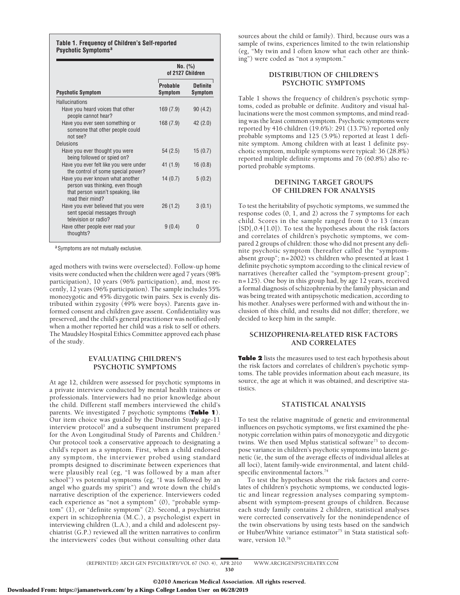#### **Table 1. Frequency of Children's Self-reported Psychotic Symptoms<sup>a</sup>**

|                                                                                                                               | No. (%)<br>of 2127 Children |                            |
|-------------------------------------------------------------------------------------------------------------------------------|-----------------------------|----------------------------|
| <b>Psychotic Symptom</b>                                                                                                      | Probable<br>Symptom         | <b>Definite</b><br>Symptom |
| <b>Hallucinations</b>                                                                                                         |                             |                            |
| Have you heard voices that other<br>people cannot hear?                                                                       | 169(7.9)                    | 90(4.2)                    |
| Have you ever seen something or<br>someone that other people could<br>not see?                                                | 168(7.9)                    | 42(2.0)                    |
| Delusions                                                                                                                     |                             |                            |
| Have you ever thought you were<br>being followed or spied on?                                                                 | 54(2.5)                     | 15(0.7)                    |
| Have you ever felt like you were under<br>the control of some special power?                                                  | 41 (1.9)                    | 16(0.8)                    |
| Have you ever known what another<br>person was thinking, even though<br>that person wasn't speaking, like<br>read their mind? | 14(0.7)                     | 5(0.2)                     |
| Have you ever believed that you were<br>sent special messages through<br>television or radio?                                 | 26(1.2)                     | 3(0.1)                     |
| Have other people ever read your<br>thoughts?                                                                                 | 9(0.4)                      | 0                          |

a Symptoms are not mutually exclusive.

aged mothers with twins were overselected). Follow-up home visits were conducted when the children were aged 7 years (98% participation), 10 years (96% participation), and, most recently, 12 years (96% participation). The sample includes 55% monozygotic and 45% dizygotic twin pairs. Sex is evenly distributed within zygosity (49% were boys). Parents gave informed consent and children gave assent. Confidentiality was preserved, and the child's general practitioner was notified only when a mother reported her child was a risk to self or others. The Maudsley Hospital Ethics Committee approved each phase of the study.

## **EVALUATING CHILDREN'S PSYCHOTIC SYMPTOMS**

At age 12, children were assessed for psychotic symptoms in a private interview conducted by mental health trainees or professionals. Interviewers had no prior knowledge about the child. Different staff members interviewed the child's parents. We investigated 7 psychotic symptoms (**Table 1**). Our item choice was guided by the Dunedin Study age-11 interview protocol<sup>1</sup> and a subsequent instrument prepared for the Avon Longitudinal Study of Parents and Children.<sup>2</sup> Our protocol took a conservative approach to designating a child's report as a symptom. First, when a child endorsed any symptom, the interviewer probed using standard prompts designed to discriminate between experiences that were plausibly real (eg, "I was followed by a man after school") vs potential symptoms (eg, "I was followed by an angel who guards my spirit") and wrote down the child's narrative description of the experience. Interviewers coded each experience as "not a symptom" (0), "probable symptom" (1), or "definite symptom" (2). Second, a psychiatrist expert in schizophrenia (M.C.), a psychologist expert in interviewing children (L.A.), and a child and adolescent psychiatrist (G.P.) reviewed all the written narratives to confirm the interviewers' codes (but without consulting other data sources about the child or family). Third, because ours was a sample of twins, experiences limited to the twin relationship (eg, "My twin and I often know what each other are thinking") were coded as "not a symptom."

## **DISTRIBUTION OF CHILDREN'S PSYCHOTIC SYMPTOMS**

Table 1 shows the frequency of children's psychotic symptoms, coded as probable or definite. Auditory and visual hallucinations were the most common symptoms, and mind reading was the least common symptom. Psychotic symptoms were reported by 416 children (19.6%): 291 (13.7%) reported only probable symptoms and 125 (5.9%) reported at least 1 definite symptom. Among children with at least 1 definite psychotic symptom, multiple symptoms were typical: 36 (28.8%) reported multiple definite symptoms and 76 (60.8%) also reported probable symptoms.

## **DEFINING TARGET GROUPS OF CHILDREN FOR ANALYSIS**

To test the heritability of psychotic symptoms, we summed the response codes (0, 1, and 2) across the 7 symptoms for each child. Scores in the sample ranged from 0 to 13 (mean [SD],  $0.4$  [1.0]). To test the hypotheses about the risk factors and correlates of children's psychotic symptoms, we compared 2 groups of children: those who did not present any definite psychotic symptom (hereafter called the "symptomabsent group"; n=2002) vs children who presented at least 1 definite psychotic symptom according to the clinical review of narratives (hereafter called the "symptom-present group"; n=125). One boy in this group had, by age 12 years, received a formal diagnosis of schizophrenia by the family physician and was being treated with antipsychotic medication, according to his mother. Analyses were performed with and without the inclusion of this child, and results did not differ; therefore, we decided to keep him in the sample.

## **SCHIZOPHRENIA-RELATED RISK FACTORS AND CORRELATES**

**Table 2** lists the measures used to test each hypothesis about the risk factors and correlates of children's psychotic symptoms. The table provides information about each measure, its source, the age at which it was obtained, and descriptive statistics.

## **STATISTICAL ANALYSIS**

To test the relative magnitude of genetic and environmental influences on psychotic symptoms, we first examined the phenotypic correlation within pairs of monozygotic and dizygotic twins. We then used Mplus statistical software $73$  to decompose variance in children's psychotic symptoms into latent genetic (ie, the sum of the average effects of individual alleles at all loci), latent family-wide environmental, and latent childspecific environmental factors.<sup>74</sup>

To test the hypotheses about the risk factors and correlates of children's psychotic symptoms, we conducted logistic and linear regression analyses comparing symptomabsent with symptom-present groups of children. Because each study family contains 2 children, statistical analyses were corrected conservatively for the nonindependence of the twin observations by using tests based on the sandwich or Huber/White variance estimator<sup>75</sup> in Stata statistical software, version  $10^{76}$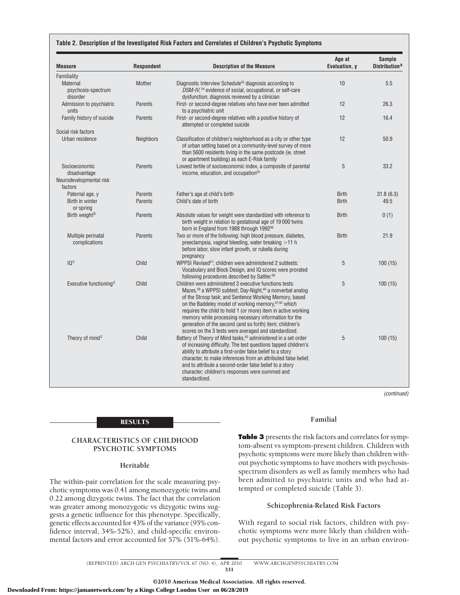#### **Table 2. Description of the Investigated Risk Factors and Correlates of Children's Psychotic Symptoms**

| <b>Measure</b>                             | <b>Respondent</b> | <b>Description of the Measure</b>                                                                                                                                                                                                                                                                                                                                                                                                                                                                             | Age at<br>Evaluation, y | <b>Sample</b><br>Distribution <sup>a</sup> |
|--------------------------------------------|-------------------|---------------------------------------------------------------------------------------------------------------------------------------------------------------------------------------------------------------------------------------------------------------------------------------------------------------------------------------------------------------------------------------------------------------------------------------------------------------------------------------------------------------|-------------------------|--------------------------------------------|
| Familiality                                |                   |                                                                                                                                                                                                                                                                                                                                                                                                                                                                                                               |                         |                                            |
| Maternal<br>psychosis-spectrum<br>disorder | Mother            | Diagnostic Interview Schedule <sup>53</sup> diagnosis according to<br>DSM-IV, <sup>54</sup> evidence of social, occupational, or self-care<br>dysfunction; diagnosis reviewed by a clinician                                                                                                                                                                                                                                                                                                                  | 10                      | 5.5                                        |
| Admission to psychiatric<br>units          | Parents           | First- or second-degree relatives who have ever been admitted<br>to a psychiatric unit                                                                                                                                                                                                                                                                                                                                                                                                                        | 12                      | 26.3                                       |
| Family history of suicide                  | Parents           | First- or second-degree relatives with a positive history of<br>attempted or completed suicide                                                                                                                                                                                                                                                                                                                                                                                                                | 12                      | 16.4                                       |
| Social risk factors                        |                   |                                                                                                                                                                                                                                                                                                                                                                                                                                                                                                               |                         |                                            |
| Urban residence                            | <b>Neighbors</b>  | Classification of children's neighborhood as a city or other type<br>of urban setting based on a community-level survey of more<br>than 5600 residents living in the same postcode (ie, street<br>or apartment building) as each E-Risk family                                                                                                                                                                                                                                                                | 12                      | 50.9                                       |
| Socioeconomic<br>disadvantage              | Parents           | Lowest tertile of socioeconomic index, a composite of parental<br>income, education, and occupation <sup>55</sup>                                                                                                                                                                                                                                                                                                                                                                                             | 5                       | 33.2                                       |
| Neurodevelopmental risk<br>factors         |                   |                                                                                                                                                                                                                                                                                                                                                                                                                                                                                                               |                         |                                            |
| Paternal age, y                            | Parents           | Father's age at child's birth                                                                                                                                                                                                                                                                                                                                                                                                                                                                                 | <b>Birth</b>            | 31.8(6.3)                                  |
| Birth in winter<br>or spring               | Parents           | Child's date of birth                                                                                                                                                                                                                                                                                                                                                                                                                                                                                         | <b>Birth</b>            | 49.5                                       |
| Birth weight <sup>b</sup>                  | Parents           | Absolute values for weight were standardized with reference to<br>birth weight in relation to gestational age of 19000 twins<br>born in England from 1988 through 1992 <sup>56</sup>                                                                                                                                                                                                                                                                                                                          | <b>Birth</b>            | 0(1)                                       |
| Multiple perinatal<br>complications        | Parents           | Two or more of the following: high blood pressure, diabetes,<br>preeclampsia, vaginal bleeding, water breaking >11 h<br>before labor, slow infant growth, or rubella during<br>pregnancy                                                                                                                                                                                                                                                                                                                      | <b>Birth</b>            | 21.9                                       |
| 10 <sub>c</sub>                            | Child             | WPPSI Revised <sup>57</sup> ; children were administered 2 subtests:<br>Vocabulary and Block Design, and IQ scores were prorated<br>following procedures described by Sattler. <sup>58</sup>                                                                                                                                                                                                                                                                                                                  | 5                       | 100(15)                                    |
| Executive functioning <sup>c</sup>         | Child             | Children were administered 3 executive functions tests:<br>Mazes, <sup>59</sup> a WPPSI subtest; Day-Night, <sup>60</sup> a nonverbal analog<br>of the Stroop task; and Sentence Working Memory, based<br>on the Baddeley model of working memory, 61,62 which<br>requires the child to hold 1 (or more) item in active working<br>memory while processing necessary information for the<br>generation of the second (and so forth) item; children's<br>scores on the 3 tests were averaged and standardized. | 5                       | 100(15)                                    |
| Theory of mind <sup>c</sup>                | Child             | Battery of Theory of Mind tasks, <sup>63</sup> administered in a set order<br>of increasing difficulty. The test questions tapped children's<br>ability to attribute a first-order false belief to a story<br>character, to make inferences from an attributed false belief,<br>and to attribute a second-order false belief to a story<br>character; children's responses were summed and<br>standardized.                                                                                                   | 5                       | 100(15)                                    |

*(continued)*

## **RESULTS**

## **CHARACTERISTICS OF CHILDHOOD PSYCHOTIC SYMPTOMS**

## **Heritable**

The within-pair correlation for the scale measuring psychotic symptoms was 0.41 among monozygotic twins and 0.22 among dizygotic twins. The fact that the correlation was greater among monozygotic vs dizygotic twins suggests a genetic influence for this phenotype. Specifically, genetic effects accounted for 43% of the variance (95% confidence interval, 34%-52%), and child-specific environmental factors and error accounted for 57% (51%-64%).

## **Familial**

**Table 3** presents the risk factors and correlates for symptom-absent vs symptom-present children. Children with psychotic symptoms were more likely than children without psychotic symptoms to have mothers with psychosisspectrum disorders as well as family members who had been admitted to psychiatric units and who had attempted or completed suicide (Table 3).

## **Schizophrenia-Related Risk Factors**

With regard to social risk factors, children with psychotic symptoms were more likely than children without psychotic symptoms to live in an urban environ-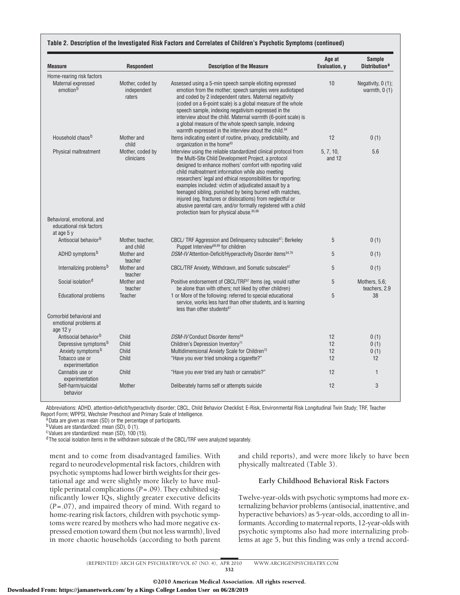| <b>Measure</b>                                                          | <b>Respondent</b><br><b>Description of the Measure</b> |                                                                                                                                                                                                                                                                                                                                                                                                                                                                                                                                                                                                                | Age at<br>Evaluation, y | <b>Sample</b><br>Distribution <sup>a</sup> |
|-------------------------------------------------------------------------|--------------------------------------------------------|----------------------------------------------------------------------------------------------------------------------------------------------------------------------------------------------------------------------------------------------------------------------------------------------------------------------------------------------------------------------------------------------------------------------------------------------------------------------------------------------------------------------------------------------------------------------------------------------------------------|-------------------------|--------------------------------------------|
| Home-rearing risk factors<br>Maternal expressed<br>emotion <sup>b</sup> | Mother, coded by<br>independent<br>raters              | Assessed using a 5-min speech sample eliciting expressed<br>emotion from the mother; speech samples were audiotaped<br>and coded by 2 independent raters. Maternal negativity<br>(coded on a 6-point scale) is a global measure of the whole<br>speech sample, indexing negativism expressed in the<br>interview about the child. Maternal warmth (6-point scale) is<br>a global measure of the whole speech sample, indexing                                                                                                                                                                                  | 10                      | Negativity, 0 (1);<br>warmth, $0(1)$       |
| Household chaos <sup>b</sup>                                            | Mother and<br>child                                    | warmth expressed in the interview about the child. <sup>64</sup><br>Items indicating extent of routine, privacy, predictability, and<br>organization in the home <sup>43</sup>                                                                                                                                                                                                                                                                                                                                                                                                                                 | 12                      | 0(1)                                       |
| Physical maltreatment                                                   | Mother, coded by<br>clinicians                         | Interview using the reliable standardized clinical protocol from<br>the Multi-Site Child Development Project, a protocol<br>designed to enhance mothers' comfort with reporting valid<br>child maltreatment information while also meeting<br>researchers' legal and ethical responsibilities for reporting;<br>examples included: victim of adjudicated assault by a<br>teenaged sibling, punished by being burned with matches,<br>injured (eg, fractures or dislocations) from neglectful or<br>abusive parental care, and/or formally registered with a child<br>protection team for physical abuse. 65,66 | 5, 7, 10,<br>and 12     | 5.6                                        |
| Behavioral, emotional, and<br>educational risk factors<br>at age $5v$   |                                                        |                                                                                                                                                                                                                                                                                                                                                                                                                                                                                                                                                                                                                |                         |                                            |
| Antisocial behavior <sup>b</sup>                                        | Mother, teacher,<br>and child                          | CBCL/TRF Aggression and Delinquency subscales <sup>67</sup> ; Berkeley<br>Puppet Interview <sup>68,69</sup> for children                                                                                                                                                                                                                                                                                                                                                                                                                                                                                       | 5                       | 0(1)                                       |
| ADHD symptoms <sup>b</sup>                                              | Mother and<br>teacher                                  | DSM-IV Attention-Deficit/Hyperactivity Disorder items <sup>54,70</sup>                                                                                                                                                                                                                                                                                                                                                                                                                                                                                                                                         | 5                       | 0(1)                                       |
| Internalizing problems <sup>b</sup>                                     | Mother and<br>teacher                                  | CBCL/TRF Anxiety, Withdrawn, and Somatic subscales <sup>67</sup>                                                                                                                                                                                                                                                                                                                                                                                                                                                                                                                                               | 5                       | 0(1)                                       |
| Social isolation <sup>d</sup>                                           | Mother and<br>teacher                                  | Positive endorsement of CBCL/TRF <sup>67</sup> items (eg, would rather<br>be alone than with others; not liked by other children)                                                                                                                                                                                                                                                                                                                                                                                                                                                                              | 5                       | Mothers, 5.6;<br>teachers, 2.9             |
| <b>Educational problems</b>                                             | <b>Teacher</b>                                         | 1 or More of the following: referred to special educational<br>service, works less hard than other students, and is learning<br>less than other students <sup>67</sup>                                                                                                                                                                                                                                                                                                                                                                                                                                         | 5                       | 38                                         |
| Comorbid behavioral and<br>emotional problems at<br>age 12 y            |                                                        |                                                                                                                                                                                                                                                                                                                                                                                                                                                                                                                                                                                                                |                         |                                            |
| Antisocial behavior <sup>b</sup>                                        | Child                                                  | DSM-IV Conduct Disorder items <sup>54</sup>                                                                                                                                                                                                                                                                                                                                                                                                                                                                                                                                                                    | 12                      | 0(1)                                       |
| Depressive symptoms <sup>b</sup>                                        | Child                                                  | Children's Depression Inventory <sup>71</sup>                                                                                                                                                                                                                                                                                                                                                                                                                                                                                                                                                                  | 12                      | 0(1)                                       |
| Anxiety symptoms <sup>b</sup>                                           | Child                                                  | Multidimensional Anxiety Scale for Children <sup>72</sup>                                                                                                                                                                                                                                                                                                                                                                                                                                                                                                                                                      | 12                      | 0(1)                                       |
| Tobacco use or<br>experimentation                                       | Child                                                  | "Have you ever tried smoking a cigarette?"                                                                                                                                                                                                                                                                                                                                                                                                                                                                                                                                                                     | 12                      | 12                                         |
| Cannabis use or<br>experimentation                                      | Child                                                  | "Have you ever tried any hash or cannabis?"                                                                                                                                                                                                                                                                                                                                                                                                                                                                                                                                                                    | 12                      | $\mathbf{1}$                               |
| Self-harm/suicidal<br>behavior                                          | Mother                                                 | Deliberately harms self or attempts suicide                                                                                                                                                                                                                                                                                                                                                                                                                                                                                                                                                                    | 12                      | 3                                          |

Abbreviations: ADHD, attention-deficit/hyperactivity disorder; CBCL, Child Behavior Checklist; E-Risk, Environmental Risk Longitudinal Twin Study; TRF, Teacher<br>Report Form; WPPSI, Wechsler Preschool and Primary Scale of In

 $^{\text{a}}$  Data are given as mean (SD) or the percentage of participants.

b Values are standardized: mean (SD), 0 (1).

 $\cdot$ Values are standardized: mean  $(SD)$ , 100 (15).

dThe social isolation items in the withdrawn subscale of the CBCL/TRF were analyzed separately.

ment and to come from disadvantaged families. With regard to neurodevelopmental risk factors, children with psychotic symptoms had lower birth weights for their gestational age and were slightly more likely to have multiple perinatal complications (*P*=.09). They exhibited significantly lower IQs, slightly greater executive deficits (*P*=.07), and impaired theory of mind. With regard to home-rearing risk factors, children with psychotic symptoms were reared by mothers who had more negative expressed emotion toward them (but not less warmth), lived in more chaotic households (according to both parent and child reports), and were more likely to have been physically maltreated (Table 3).

## **Early Childhood Behavioral Risk Factors**

Twelve-year-olds with psychotic symptoms had more externalizing behavior problems (antisocial, inattentive, and hyperactive behaviors) as 5-year-olds, according to all informants. According to maternal reports, 12-year-olds with psychotic symptoms also had more internalizing problems at age 5, but this finding was only a trend accord-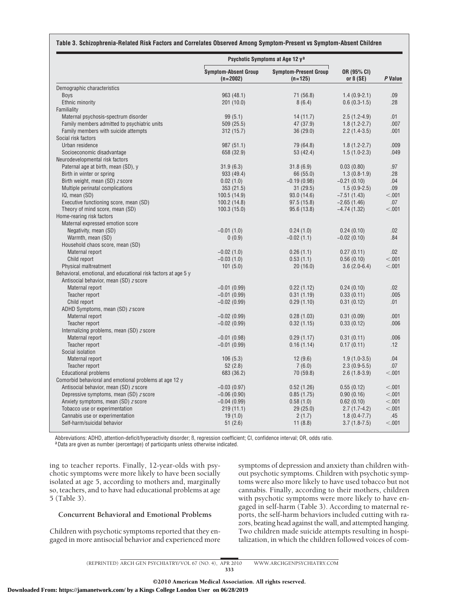|                                                                                                          |                                           | Psychotic Symptoms at Age 12 y <sup>a</sup> |                                | P Value |
|----------------------------------------------------------------------------------------------------------|-------------------------------------------|---------------------------------------------|--------------------------------|---------|
|                                                                                                          | <b>Symptom-Absent Group</b><br>$(n=2002)$ | <b>Symptom-Present Group</b><br>$(n=125)$   | OR (95% CI)<br>or $\beta$ (SE) |         |
| Demographic characteristics                                                                              |                                           |                                             |                                |         |
| <b>Boys</b>                                                                                              | 963 (48.1)                                | 71 (56.8)                                   | $1.4(0.9-2.1)$                 | .09     |
| Ethnic minority                                                                                          | 201(10.0)                                 | 8(6.4)                                      | $0.6(0.3-1.5)$                 | .28     |
| Familiality                                                                                              |                                           |                                             |                                |         |
| Maternal psychosis-spectrum disorder                                                                     | 99(5.1)                                   | 14(11.7)                                    | $2.5(1.2-4.9)$                 | .01     |
| Family members admitted to psychiatric units                                                             | 509 (25.5)                                | 47 (37.9)                                   | $1.8(1.2-2.7)$                 | .007    |
| Family members with suicide attempts                                                                     | 312 (15.7)                                | 36(29.0)                                    | $2.2(1.4-3.5)$                 | .001    |
| Social risk factors                                                                                      |                                           |                                             |                                |         |
| Urban residence                                                                                          | 987 (51.1)                                | 79 (64.8)                                   | $1.8(1.2 - 2.7)$               | .009    |
| Socioeconomic disadvantage                                                                               | 658 (32.9)                                | 53 (42.4)                                   | $1.5(1.0-2.3)$                 | .049    |
| Neurodevelopmental risk factors                                                                          |                                           |                                             |                                |         |
| Paternal age at birth, mean (SD), y                                                                      | 31.9(6.3)                                 | 31.8(6.9)                                   | 0.03(0.80)                     | .97     |
| Birth in winter or spring                                                                                | 933 (49.4)                                | 66 (55.0)                                   | $1.3(0.8-1.9)$                 | .28     |
| Birth weight, mean (SD) z score                                                                          | 0.02(1.0)                                 | $-0.19(0.98)$                               | $-0.21(0.10)$                  | .04     |
| Multiple perinatal complications                                                                         | 353(21.5)                                 | 31(29.5)                                    | $1.5(0.9-2.5)$                 | .09     |
| IQ, mean (SD)                                                                                            | 100.5(14.9)                               | 93.0(14.6)                                  | $-7.51(1.43)$                  | < .001  |
| Executive functioning score, mean (SD)                                                                   | 100.2(14.8)                               | 97.5(15.8)                                  | $-2.65(1.46)$                  | .07     |
| Theory of mind score, mean (SD)                                                                          | 100.3(15.0)                               | 95.6 (13.8)                                 | $-4.74(1.32)$                  | < .001  |
| Home-rearing risk factors                                                                                |                                           |                                             |                                |         |
| Maternal expressed emotion score                                                                         |                                           |                                             |                                |         |
| Negativity, mean (SD)                                                                                    | $-0.01(1.0)$                              | 0.24(1.0)                                   | 0.24(0.10)                     | .02     |
| Warmth, mean (SD)                                                                                        | 0(0.9)                                    | $-0.02(1.1)$                                | $-0.02(0.10)$                  | .84     |
| Household chaos score, mean (SD)                                                                         |                                           |                                             |                                |         |
| Maternal report                                                                                          | $-0.02(1.0)$                              | 0.26(1.1)                                   | 0.27(0.11)                     | .02     |
| Child report                                                                                             | $-0.03(1.0)$                              | 0.53(1.1)                                   | 0.56(0.10)                     | < .001  |
| Physical maltreatment                                                                                    | 101(5.0)                                  | 20(16.0)                                    | $3.6(2.0-6.4)$                 | < .001  |
| Behavioral, emotional, and educational risk factors at age 5 y<br>Antisocial behavior, mean (SD) z score |                                           |                                             |                                |         |
| Maternal report                                                                                          | $-0.01(0.99)$                             | 0.22(1.12)                                  | 0.24(0.10)                     | .02     |
| Teacher report                                                                                           | $-0.01(0.99)$                             | 0.31(1.19)                                  | 0.33(0.11)                     | .005    |
| Child report                                                                                             | $-0.02(0.99)$                             | 0.29(1.10)                                  | 0.31(0.12)                     | .01     |
| ADHD Symptoms, mean (SD) z score                                                                         |                                           |                                             |                                |         |
| Maternal report                                                                                          | $-0.02(0.99)$                             | 0.28(1.03)                                  | 0.31(0.09)                     | .001    |
| Teacher report                                                                                           | $-0.02(0.99)$                             | 0.32(1.15)                                  | 0.33(0.12)                     | .006    |
| Internalizing problems, mean (SD) z score                                                                |                                           |                                             |                                |         |
| Maternal report                                                                                          | $-0.01(0.98)$                             | 0.29(1.17)                                  | 0.31(0.11)                     | .006    |
| Teacher report                                                                                           | $-0.01(0.99)$                             | 0.16(1.14)                                  | 0.17(0.11)                     | .12     |
| Social isolation                                                                                         |                                           |                                             |                                |         |
| Maternal report                                                                                          | 106(5.3)                                  | 12(9.6)                                     | $1.9(1.0-3.5)$                 | .04     |
| Teacher report                                                                                           | 52(2.8)                                   | 7(6.0)                                      | $2.3(0.9-5.5)$                 | .07     |
| <b>Educational problems</b>                                                                              | 683 (36.2)                                | 70 (59.8)                                   | $2.6(1.8-3.9)$                 | < .001  |
| Comorbid behavioral and emotional problems at age 12 y                                                   |                                           |                                             |                                |         |
| Antisocial behavior, mean (SD) z score                                                                   | $-0.03(0.97)$                             | 0.52(1.26)                                  | 0.55(0.12)                     | < .001  |
| Depressive symptoms, mean (SD) z score                                                                   | $-0.06(0.90)$                             | 0.85(1.75)                                  | 0.90(0.16)                     | < .001  |
| Anxiety symptoms, mean (SD) z score                                                                      | $-0.04(0.99)$                             | 0.58(1.0)                                   | 0.62(0.10)                     | < .001  |
| Tobacco use or experimentation                                                                           | 219(11.1)                                 | 29(25.0)                                    | $2.7(1.7-4.2)$                 | < .001  |
| Cannabis use or experimentation                                                                          | 19(1.0)                                   | 2(1.7)                                      | $1.8(0.4-7.7)$                 | .45     |
| Self-harm/suicidal behavior                                                                              | 51(2.6)                                   | 11(8.8)                                     | $3.7(1.8-7.5)$                 | < .001  |

Abbreviations: ADHD, attention-deficit/hyperactivity disorder; ß, regression coefficient; CI, confidence interval; OR, odds ratio. aData are given as number (percentage) of participants unless otherwise indicated.

ing to teacher reports. Finally, 12-year-olds with psychotic symptoms were more likely to have been socially isolated at age 5, according to mothers and, marginally so, teachers, and to have had educational problems at age 5 (Table 3).

## **Concurrent Behavioral and Emotional Problems**

Children with psychotic symptoms reported that they engaged in more antisocial behavior and experienced more symptoms of depression and anxiety than children without psychotic symptoms. Children with psychotic symptoms were also more likely to have used tobacco but not cannabis. Finally, according to their mothers, children with psychotic symptoms were more likely to have engaged in self-harm (Table 3). According to maternal reports, the self-harm behaviors included cutting with razors, beating head against the wall, and attempted hanging. Two children made suicide attempts resulting in hospitalization, in which the children followed voices of com-

(REPRINTED) ARCH GEN PSYCHIATRY/ VOL 67 (NO. 4), APR 2010 WWW.ARCHGENPSYCHIATRY.COM 333

©2010 American Medical Association. All rights reserved.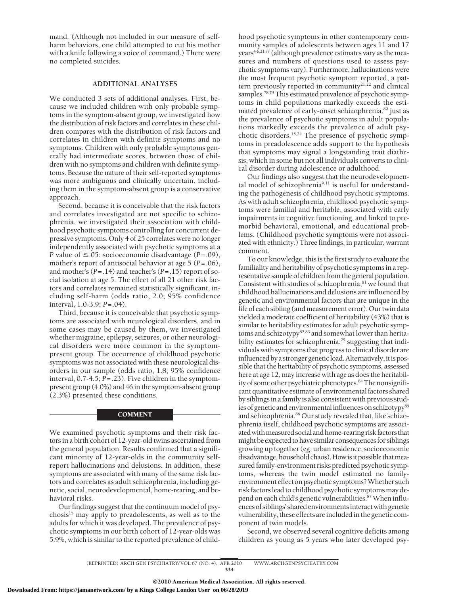mand. (Although not included in our measure of selfharm behaviors, one child attempted to cut his mother with a knife following a voice of command.) There were no completed suicides.

## **ADDITIONAL ANALYSES**

We conducted 3 sets of additional analyses. First, because we included children with only probable symptoms in the symptom-absent group, we investigated how the distribution of risk factors and correlates in these children compares with the distribution of risk factors and correlates in children with definite symptoms and no symptoms. Children with only probable symptoms generally had intermediate scores, between those of children with no symptoms and children with definite symptoms. Because the nature of their self-reported symptoms was more ambiguous and clinically uncertain, including them in the symptom-absent group is a conservative approach.

Second, because it is conceivable that the risk factors and correlates investigated are not specific to schizophrenia, we investigated their association with childhood psychotic symptoms controlling for concurrent depressive symptoms. Only 4 of 25 correlates were no longer independently associated with psychotic symptoms at a *P* value of  $\leq$ .05: socioeconomic disadvantage (*P*=.09), mother's report of antisocial behavior at age 5 (*P*=.06), and mother's (*P*=.14) and teacher's (*P*=.15) report of social isolation at age 5. The effect of all 21 other risk factors and correlates remained statistically significant, including self-harm (odds ratio, 2.0; 95% confidence interval, 1.0-3.9; *P*=.04).

Third, because it is conceivable that psychotic symptoms are associated with neurological disorders, and in some cases may be caused by them, we investigated whether migraine, epilepsy, seizures, or other neurological disorders were more common in the symptompresent group. The occurrence of childhood psychotic symptoms was not associated with these neurological disorders in our sample (odds ratio, 1.8; 95% confidence interval, 0.7-4.5; *P*=.23). Five children in the symptompresent group (4.0%) and 46 in the symptom-absent group (2.3%) presented these conditions.

#### **COMMENT**

We examined psychotic symptoms and their risk factors in a birth cohort of 12-year-old twins ascertained from the general population. Results confirmed that a significant minority of 12-year-olds in the community selfreport hallucinations and delusions. In addition, these symptoms are associated with many of the same risk factors and correlates as adult schizophrenia, including genetic, social, neurodevelopmental, home-rearing, and behavioral risks.

Our findings suggest that the continuum model of psychosis $15$  may apply to preadolescents, as well as to the adults for which it was developed. The prevalence of psychotic symptoms in our birth cohort of 12-year-olds was 5.9%, which is similar to the reported prevalence of childhood psychotic symptoms in other contemporary community samples of adolescents between ages 11 and 17  $years<sup>4-6,21,77</sup>$  (although prevalence estimates vary as the measures and numbers of questions used to assess psychotic symptoms vary). Furthermore, hallucinations were the most frequent psychotic symptom reported, a pattern previously reported in community $2^{1,22}$  and clinical samples.<sup>78,79</sup> This estimated prevalence of psychotic symptoms in child populations markedly exceeds the estimated prevalence of early-onset schizophrenia,<sup>80</sup> just as the prevalence of psychotic symptoms in adult populations markedly exceeds the prevalence of adult psychotic disorders.15,24 The presence of psychotic symptoms in preadolescence adds support to the hypothesis that symptoms may signal a longstanding trait diathesis, which in some but not all individuals converts to clinical disorder during adolescence or adulthood.

Our findings also suggest that the neurodevelopmental model of schizophrenia $9,11$  is useful for understanding the pathogenesis of childhood psychotic symptoms. As with adult schizophrenia, childhood psychotic symptoms were familial and heritable, associated with early impairments in cognitive functioning, and linked to premorbid behavioral, emotional, and educational problems. (Childhood psychotic symptoms were not associated with ethnicity.) Three findings, in particular, warrant comment.

To our knowledge, this is the first study to evaluate the familiality and heritability of psychotic symptomsin a representative sample of children from the general population. Consistent with studies of schizophrenia,<sup>81</sup> we found that childhood hallucinations and delusions are influenced by genetic and environmental factors that are unique in the life of each sibling (and measurement error). Our twin data yielded a moderate coefficient of heritability (43%) that is similar to heritability estimates for adult psychotic symptoms and schizotypy<sup>82,83</sup> and somewhat lower than heritability estimates for schizophrenia,<sup>29</sup> suggesting that individualswith symptoms that progress to clinical disorder are influenced by a stronger genetic load. Alternatively, it is possible that the heritability of psychotic symptoms, assessed here at age 12, may increase with age as does the heritability of some other psychiatric phenotypes.<sup>84</sup> The nonsignificant quantitative estimate of environmental factors shared by siblings in a family is also consistent with previous studies of genetic and environmental influences on schizotypy<sup>85</sup> and schizophrenia.<sup>86</sup> Our study revealed that, like schizophrenia itself, childhood psychotic symptoms are associated with measured social and home-rearing risk factors that might be expected to have similar consequencesfor siblings growing up together (eg, urban residence, socioeconomic disadvantage, household chaos). How is it possible that measured family-environment risks predicted psychotic symptoms, whereas the twin model estimated no familyenvironment effect on psychotic symptoms?Whether such risk factors lead to childhood psychotic symptoms may depend on each child's genetic vulnerabilities.<sup>87</sup> When influences of siblings' shared environmentsinteractwithgenetic vulnerability, these effects areincludedin the genetic component of twin models.

Second, we observed several cognitive deficits among children as young as 5 years who later developed psy-

**Downloaded From: https://jamanetwork.com/ by a Kings College London User on 06/28/2019**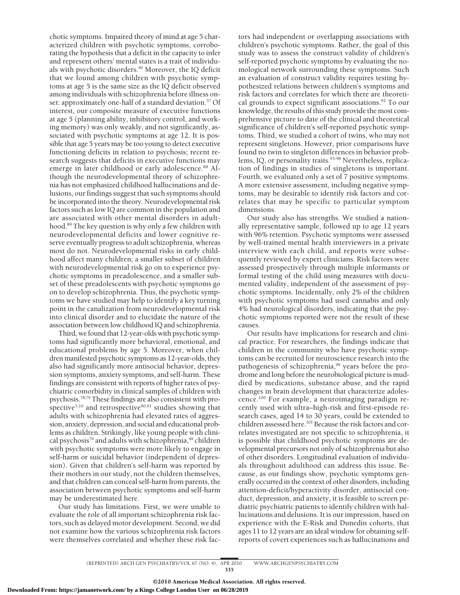chotic symptoms. Impaired theory of mind at age 5 characterized children with psychotic symptoms, corroborating the hypothesis that a deficit in the capacity to infer and represent others' mental states is a trait of individuals with psychotic disorders.<sup>40</sup> Moreover, the IQ deficit that we found among children with psychotic symptoms at age 5 is the same size as the IQ deficit observed among individuals with schizophrenia before illness onset: approximately one-half of a standard deviation.<sup>37</sup> Of interest, our composite measure of executive functions at age 5 (planning ability, inhibitory control, and working memory) was only weakly, and not significantly, associated with psychotic symptoms at age 12. It is possible that age 5 years may be too young to detect executive functioning deficits in relation to psychosis; recent research suggests that deficits in executive functions may emerge in later childhood or early adolescence.<sup>88</sup> Although the neurodevelopmental theory of schizophrenia has not emphasized childhood hallucinations and delusions, our findings suggest that such symptoms should be incorporated into the theory. Neurodevelopmental risk factors such as low IQ are common in the population and are associated with other mental disorders in adulthood.89 The key question is why only a few children with neurodevelopmental deficits and lower cognitive reserve eventually progress to adult schizophrenia, whereas most do not. Neurodevelopmental risks in early childhood affect many children; a smaller subset of children with neurodevelopmental risk go on to experience psychotic symptoms in preadolescence, and a smaller subset of these preadolescents with psychotic symptoms go on to develop schizophrenia. Thus, the psychotic symptoms we have studied may help to identify a key turning point in the canalization from neurodevelopmental risk into clinical disorder and to elucidate the nature of the association between low childhood IQ and schizophrenia.

Third, we found that 12-year-olds with psychotic symptoms had significantly more behavioral, emotional, and educational problems by age 5. Moreover, when children manifested psychotic symptoms as 12-year-olds, they also had significantly more antisocial behavior, depression symptoms, anxiety symptoms, and self-harm. These findings are consistent with reports of higher rates of psychiatric comorbidity in clinical samples of children with psychosis.78,79 These findings are also consistent with prospective<sup>3,10</sup> and retrospective<sup>90,91</sup> studies showing that adults with schizophrenia had elevated rates of aggression, anxiety, depression, and social and educational problems as children. Strikingly, like young people with clinical psychosis<sup>79</sup> and adults with schizophrenia,<sup>49</sup> children with psychotic symptoms were more likely to engage in self-harm or suicidal behavior (independent of depression). Given that children's self-harm was reported by their mothers in our study, not the children themselves, and that children can conceal self-harm from parents, the association between psychotic symptoms and self-harm may be underestimated here.

Our study has limitations. First, we were unable to evaluate the role of all important schizophrenia risk factors, such as delayed motor development. Second, we did not examine how the various schizophrenia risk factors were themselves correlated and whether these risk fac-

tors had independent or overlapping associations with children's psychotic symptoms. Rather, the goal of this study was to assess the construct validity of children's self-reported psychotic symptoms by evaluating the nomological network surrounding these symptoms. Such an evaluation of construct validity requires testing hypothesized relations between children's symptoms and risk factors and correlates for which there are theoretical grounds to expect significant associations.<sup>92</sup> To our knowledge, the results of this study provide the most comprehensive picture to date of the clinical and theoretical significance of children's self-reported psychotic symptoms. Third, we studied a cohort of twins, who may not represent singletons. However, prior comparisons have found no twin to singleton differences in behavior problems, IQ, or personality traits.<sup>93-98</sup> Nevertheless, replication of findings in studies of singletons is important. Fourth, we evaluated only a set of 7 positive symptoms. A more extensive assessment, including negative symptoms, may be desirable to identify risk factors and correlates that may be specific to particular symptom dimensions.

Our study also has strengths. We studied a nationally representative sample, followed up to age 12 years with 96% retention. Psychotic symptoms were assessed by well-trained mental health interviewers in a private interview with each child, and reports were subsequently reviewed by expert clinicians. Risk factors were assessed prospectively through multiple informants or formal testing of the child using measures with documented validity, independent of the assessment of psychotic symptoms. Incidentally, only 2% of the children with psychotic symptoms had used cannabis and only 4% had neurological disorders, indicating that the psychotic symptoms reported were not the result of these causes.

Our results have implications for research and clinical practice. For researchers, the findings indicate that children in the community who have psychotic symptoms can be recruited for neuroscience research into the pathogenesis of schizophrenia,<sup>99</sup> years before the prodrome and long before the neurobiological picture is muddied by medications, substance abuse, and the rapid changes in brain development that characterize adolescence.100 For example, a neuroimaging paradigm recently used with ultra–high-risk and first-episode research cases, aged 14 to 30 years, could be extended to children assessed here.<sup>101</sup> Because the risk factors and correlates investigated are not specific to schizophrenia, it is possible that childhood psychotic symptoms are developmental precursors not only of schizophrenia but also of other disorders. Longitudinal evaluation of individuals throughout adulthood can address this issue. Because, as our findings show, psychotic symptoms generally occurred in the context of other disorders, including attention-deficit/hyperactivity disorder, antisocial conduct, depression, and anxiety, it is feasible to screen pediatric psychiatric patients to identify children with hallucinations and delusions. It is our impression, based on experience with the E-Risk and Dunedin cohorts, that ages 11 to 12 years are an ideal window for obtaining selfreports of covert experiences such as hallucinations and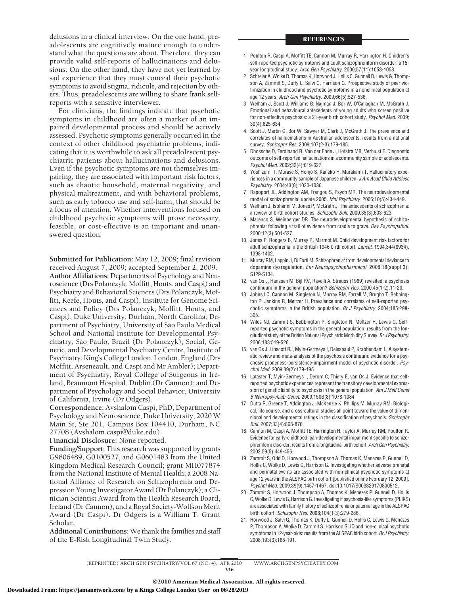delusions in a clinical interview. On the one hand, preadolescents are cognitively mature enough to understand what the questions are about. Therefore, they can provide valid self-reports of hallucinations and delusions. On the other hand, they have not yet learned by sad experience that they must conceal their psychotic symptoms to avoid stigma, ridicule, and rejection by others. Thus, preadolescents are willing to share frank selfreports with a sensitive interviewer.

For clinicians, the findings indicate that psychotic symptoms in childhood are often a marker of an impaired developmental process and should be actively assessed. Psychotic symptoms generally occurred in the context of other childhood psychiatric problems, indicating that it is worthwhile to ask all preadolescent psychiatric patients about hallucinations and delusions. Even if the psychotic symptoms are not themselves impairing, they are associated with important risk factors, such as chaotic household, maternal negativity, and physical maltreatment, and with behavioral problems, such as early tobacco use and self-harm, that should be a focus of attention. Whether interventions focused on childhood psychotic symptoms will prove necessary, feasible, or cost-effective is an important and unanswered question.

**Submitted for Publication:** May 12, 2009; final revision received August 7, 2009; accepted September 2, 2009. **Author Affiliations:** Departments of Psychology and Neuroscience (Drs Polanczyk, Moffitt, Houts, and Caspi) and Psychiatry and Behavioral Sciences (Drs Polanczyk, Moffitt, Keefe, Houts, and Caspi), Institute for Genome Sciences and Policy (Drs Polanczyk, Moffitt, Houts, and Caspi), Duke University, Durham, North Carolina; Department of Psychiatry, University of São Paulo Medical School and National Institute for Developmental Psychiatry, São Paulo, Brazil (Dr Polanczyk); Social, Genetic, and Developmental Psychiatry Centre, Institute of Psychiatry, King's College London, London, England (Drs Moffitt, Arseneault, and Caspi and Mr Ambler); Department of Psychiatry, Royal College of Surgeons in Ireland, Beaumont Hospital, Dublin (Dr Cannon); and Department of Psychology and Social Behavior, University of California, Irvine (Dr Odgers).

**Correspondence:** Avshalom Caspi, PhD, Department of Psychology and Neuroscience, Duke University, 2020 W Main St, Ste 201, Campus Box 104410, Durham, NC 27708 (Avshalom.caspi@duke.edu).

**Financial Disclosure:** None reported.

**Funding/Support:** This research was supported by grants G9806489, G0100527, and G0601483 from the United Kingdom Medical Research Council; grant MH077874 from the National Institute of Mental Health; a 2008 National Alliance of Research on Schizophrenia and Depression Young Investigator Award (Dr Polanczyk); a Clinician Scientist Award from the Health Research Board, Ireland (Dr Cannon); and a Royal Society-Wolfson Merit Award (Dr Caspi). Dr Odgers is a William T. Grant Scholar.

**Additional Contributions:**We thank the families and staff of the E-Risk Longitudinal Twin Study.

#### REFERENCES

- 1. Poulton R, Caspi A, Moffitt TE, Cannon M, Murray R, Harrington H. Children's self-reported psychotic symptoms and adult schizophreniform disorder: a 15 year longitudinal study. *Arch Gen Psychiatry*. 2000;57(11):1053-1058.
- 2. Schreier A, Wolke D, Thomas K, Horwood J, Hollis C, Gunnell D, Lewis G, Thompson A, Zammit S, Duffy L, Salvi G, Harrison G. Prospective study of peer victimization in childhood and psychotic symptoms in a nonclinical population at age 12 years. *Arch Gen Psychiatry*. 2009;66(5):527-536.
- 3. Welham J, Scott J, Williams G, Najman J, Bor W, O'Callaghan M, McGrath J. Emotional and behavioural antecedents of young adults who screen positive for non-affective psychosis: a 21-year birth cohort study. *Psychol Med*. 2009; 39(4):625-634.
- 4. Scott J, Martin G, Bor W, Sawyer M, Clark J, McGrath J. The prevalence and correlates of hallucinations in Australian adolescents: results from a national survey. *Schizophr Res*. 2009;107(2-3):179-185.
- 5. Dhossche D, Ferdinand R, Van der Ende J, Hofstra MB, Verhulst F. Diagnostic outcome of self-reported hallucinations in a community sample of adolescents. *Psychol Med*. 2002;32(4):619-627.
- 6. Yoshizumi T, Murase S, Honjo S, Kaneko H, Murakami T. Hallucinatory experiences in a community sample of Japanese children. *J Am Acad Child Adolesc Psychiatry*. 2004;43(8):1030-1036.
- 7. Rapoport JL, Addington AM, Frangou S, Psych MR. The neurodevelopmental model of schizophrenia: update 2005. *Mol Psychiatry*. 2005;10(5):434-449.
- 8. Welham J, Isohanni M, Jones P, McGrath J. The antecedents of schizophrenia: a review of birth cohort studies. *Schizophr Bull*. 2009;35(3):603-623.
- 9. Marenco S, Weinberger DR. The neurodevelopmental hypothesis of schizophrenia: following a trail of evidence from cradle to grave. *Dev Psychopathol*. 2000;12(3):501-527.
- 10. Jones P, Rodgers B, Murray R, Marmot M. Child development risk factors for adult schizophrenia in the British 1946 birth cohort. *Lancet*. 1994;344(8934): 1398-1402.
- 11. Murray RM, Lappin J, Di Forti M. Schizophrenia: from developmental deviance to dopamine dysregulation. *Eur Neuropsychopharmacol*. 2008;18(suppl 3): S129-S134.
- 12. van Os J, Hanssen M, Bijl RV, Ravelli A. Strauss (1969) revisited: a psychosis continuum in the general population? *Schizophr Res*. 2000;45(1-2):11-20.
- 13. Johns LC, Cannon M, Singleton N, Murray RM, Farrell M, Brugha T, Bebbington P, Jenkins R, Meltzer H. Prevalence and correlates of self-reported psychotic symptoms in the British population. *Br J Psychiatry*. 2004;185:298- 305.
- 14. Wiles NJ, Zammit S, Bebbington P, Singleton N, Meltzer H, Lewis G. Selfreported psychotic symptoms in the general population: results from the longitudinal study of the British National Psychiatric Morbidity Survey. *Br J Psychiatry*. 2006;188:519-526.
- 15. van Os J, Linscott RJ, Myin-Germeys I, Delespaul P, Krabbendam L. A systematic review and meta-analysis of the psychosis continuum: evidence for a psychosis proneness-persistence-impairment model of psychotic disorder. *Psychol Med*. 2009;39(2):179-195.
- 16. Lataster T, Myin-Germeys I, Derom C, Thiery E, van Os J. Evidence that selfreported psychotic experiences represent the transitory developmental expression of genetic liability to psychosis in the general population. *Am J Med Genet B Neuropsychiatr Genet*. 2009;150B(8):1078-1084.
- 17. Dutta R, Greene T, Addington J, McKenzie K, Phillips M, Murray RM. Biological, life course, and cross-cultural studies all point toward the value of dimensional and developmental ratings in the classification of psychosis. *Schizophr Bull*. 2007;33(4):868-876.
- 18. Cannon M, Caspi A, Moffitt TE, Harrington H, Taylor A, Murray RM, Poulton R. Evidence for early-childhood, pan-developmental impairment specific to schizophreniform disorder: results from a longitudinal birth cohort. *Arch Gen Psychiatry*. 2002;59(5):449-456.
- 19. Zammit S, Odd D, Horwood J, Thompson A, Thomas K, Menezes P, Gunnell D, Hollis C, Wolke D, Lewis G, Harrison G. Investigating whether adverse prenatal and perinatal events are associated with non-clinical psychotic symptoms at age 12 years in the ALSPAC birth cohort [published online February 12, 2009]. *Psychol Med*. 2009;39(9):1457-1467. doi:10.1017/S003329170800512.
- 20. Zammit S, Horwood J, Thompson A, Thomas K, Menezes P, Gunnell D, Hollis C, Wolke D, Lewis G, Harrison G. Investigating if psychosis-like symptoms (PLIKS) are associated with family history of schizophrenia or paternal age in the ALSPAC birth cohort. *Schizophr Res*. 2008;104(1-3):279-286.
- 21. Horwood J, Salvi G, Thomas K, Duffy L, Gunnell D, Hollis C, Lewis G, Menezes P, Thompson A, Wolke D, Zammit S, Harrison G. IQ and non-clinical psychotic symptoms in 12-year-olds: results from the ALSPAC birth cohort. *Br J Psychiatry*. 2008;193(3):185-191.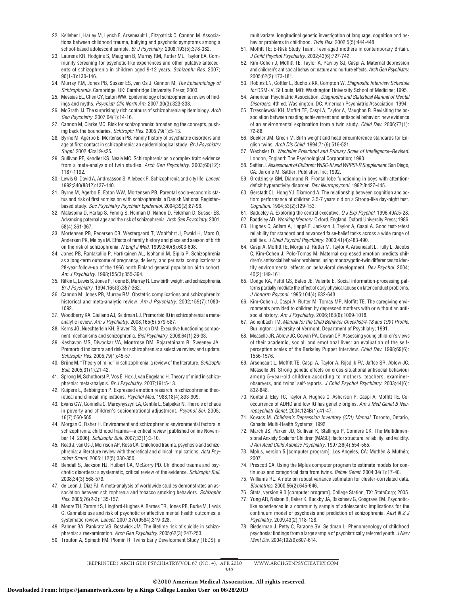- 22. Kelleher I, Harley M, Lynch F, Arseneault L, Fitzpatrick C, Cannon M. Associations between childhood trauma, bullying and psychotic symptoms among a school-based adolescent sample. *Br J Psychiatry*. 2008;193(5):378-382.
- 23. Laurens KR, Hodgins S, Maughan B, Murray RM, Rutter ML, Taylor EA. Community screening for psychotic-like experiences and other putative antecedents of schizophrenia in children aged 9-12 years. *Schizophr Res*. 2007; 90(1-3):130-146.
- 24. Murray RM, Jones PB, Susser ES, van Os J, Cannon M. *The Epidemiology of Schizophrenia.* Cambridge, UK: Cambridge University Press; 2003.
- 25. Messias EL, Chen CY, Eaton WW. Epidemiology of schizophrenia: review of findings and myths. *Psychiatr Clin North Am*. 2007;30(3):323-338.
- 26. McGrath JJ. The surprisingly rich contours of schizophrenia epidemiology. *Arch Gen Psychiatry*. 2007;64(1):14-16.
- 27. Cannon M, Clarke MC. Risk for schizophrenia: broadening the concepts, pushing back the boundaries. *Schizophr Res*. 2005;79(1):5-13.
- 28. Byrne M, Agerbo E, Mortensen PB. Family history of psychiatric disorders and age at first contact in schizophrenia: an epidemiological study. *Br J Psychiatry Suppl*. 2002;43:s19-s25.
- 29. Sullivan PF, Kendler KS, Neale MC. Schizophrenia as a complex trait: evidence from a meta-analysis of twin studies. *Arch Gen Psychiatry*. 2003;60(12): 1187-1192.
- 30. Lewis G, David A, Andreasson S, Allebeck P. Schizophrenia and city life. *Lancet*. 1992;340(8812):137-140.
- 31. Byrne M, Agerbo E, Eaton WW, Mortensen PB. Parental socio-economic status and risk of first admission with schizophrenia: a Danish National Register– based study. *Soc Psychiatry Psychiatr Epidemiol*. 2004;39(2):87-96.
- 32. Malaspina D, Harlap S, Fennig S, Heiman D, Nahon D, Feldman D, Susser ES. Advancing paternal age and the risk of schizophrenia. *Arch Gen Psychiatry*. 2001; 58(4):361-367.
- 33. Mortensen PB, Pedersen CB, Westergaard T, Wohlfahrt J, Ewald H, Mors O, Andersen PK, Melbye M. Effects of family history and place and season of birth on the risk of schizophrenia. *N Engl J Med*. 1999;340(8):603-608.
- 34. Jones PB, Rantakallio P, Hartikainen AL, Isohanni M, Sipila P. Schizophrenia as a long-term outcome of pregnancy, delivery, and perinatal complications: a 28-year follow-up of the 1966 north Finland general population birth cohort. *Am J Psychiatry*. 1998;155(3):355-364.
- 35. Rifkin L, Lewis S, Jones P, Toone B, Murray R. Low birth weight and schizophrenia. *Br J Psychiatry*. 1994;165(3):357-362.
- 36. Cannon M, Jones PB, Murray RM. Obstetric complications and schizophrenia: historical and meta-analytic review. *Am J Psychiatry*. 2002;159(7):1080- 1092.
- 37. Woodberry KA, Giuliano AJ, Seidman LJ. Premorbid IQ in schizophrenia: a metaanalytic review. *Am J Psychiatry*. 2008;165(5):579-587.
- 38. Kerns JG, Nuechterlein KH, Braver TS, Barch DM. Executive functioning component mechanisms and schizophrenia. *Biol Psychiatry*. 2008;64(1):26-33.
- 39. Keshavan MS, Diwadkar VA, Montrose DM, Rajarethinam R, Sweeney JA. Premorbid indicators and risk for schizophrenia: a selective review and update. *Schizophr Res*. 2005;79(1):45-57.
- 40. Brüne M. "Theory of mind" in schizophrenia: a review of the literature. *Schizophr Bull*. 2005;31(1):21-42.
- 41. Sprong M, Schothorst P, Vos E, Hox J, van Engeland H. Theory of mind in schizophrenia: meta-analysis. *Br J Psychiatry*. 2007;191:5-13.
- 42. Kuipers L, Bebbington P. Expressed emotion research in schizophrenia: theoretical and clinical implications. *Psychol Med*. 1988;18(4):893-909.
- 43. Evans GW, Gonnella C, Marcynyszyn LA, Gentile L, Salpekar N. The role of chaos in poverty and children's socioemotional adjustment. *Psychol Sci*. 2005; 16(7):560-565.
- 44. Morgan C, Fisher H. Environment and schizophrenia: environmental factors in schizophrenia: childhood trauma—a critical review [published online November 14, 2006]. *Schizophr Bull*. 2007;33(1):3-10.
- 45. Read J, van Os J, Morrison AP, Ross CA. Childhood trauma, psychosis and schizophrenia: a literature review with theoretical and clinical implications. *Acta Psychiatr Scand*. 2005;112(5):330-350.
- 46. Bendall S, Jackson HJ, Hulbert CA, McGorry PD. Childhood trauma and psychotic disorders: a systematic, critical review of the evidence. *Schizophr Bull*. 2008;34(3):568-579.
- 47. de Leon J, Diaz FJ. A meta-analysis of worldwide studies demonstrates an association between schizophrenia and tobacco smoking behaviors. *Schizophr Res*. 2005;76(2-3):135-157.
- 48. Moore TH, Zammit S, Lingford-Hughes A, Barnes TR, Jones PB, Burke M, Lewis G. Cannabis use and risk of psychotic or affective mental health outcomes: a systematic review. *Lancet*. 2007;370(9584):319-328.
- 49. Palmer BA, Pankratz VS, Bostwick JM. The lifetime risk of suicide in schizophrenia: a reexamination. *Arch Gen Psychiatry*. 2005;62(3):247-253.
- 50. Trouton A, Spinath FM, Plomin R. Twins Early Development Study (TEDS): a

multivariate, longitudinal genetic investigation of language, cognition and behavior problems in childhood. *Twin Res*. 2002;5(5):444-448.

- 51. Moffitt TE; E-Risk Study Team. Teen-aged mothers in contemporary Britain. *J Child Psychol Psychiatry*. 2002;43(6):727-742.
- 52. Kim-Cohen J, Moffitt TE, Taylor A, Pawlby SJ, Caspi A. Maternal depression and children's antisocial behavior: nature and nurture effects. *Arch Gen Psychiatry*. 2005;62(2):173-181.
- 53. Robins LN, Cottler L, Bucholz KK, Compton W. *Diagnostic Interview Schedule for* DSM-IV*.* St Louis, MO: Washington University School of Medicine; 1995.
- 54. American Psychiatric Association. *Diagnostic and Statistical Manual of Mental Disorders.* 4th ed. Washington, DC: American Psychiatric Association; 1994.
- 55. Trzesniewski KH, Moffitt TE, Caspi A, Taylor A, Maughan B. Revisiting the association between reading achievement and antisocial behavior: new evidence of an environmental explanation from a twin study. *Child Dev*. 2006;77(1): 72-88.
- 56. Buckler JM, Green M. Birth weight and head circumference standards for English twins. *Arch Dis Child*. 1994;71(6):516-521.
- 57. Wechsler D. *Wechsler Preschool and Primary Scale of Intelligence–Revised.* London, England: The Psychological Corporation; 1990.
- 58. Sattler J. *Assessment of Children: WISC-III and WPPSI-R Supplement.* San Diego, CA: Jerome M. Sattler, Publisher, Inc; 1992.
- 59. Grodzinsky GM, Diamond R. Frontal lobe functioning in boys with attentiondeficit hyperactivity disorder. *Dev Neuropsychol*. 1992;8:427-445.
- 60. Gerstadt CL, Hong YJ, Diamond A. The relationship between cognition and action: performance of children 3.5-7 years old on a Stroop-like day-night test. *Cognition*. 1994;53(2):129-153.
- 61. Baddeley A. Exploring the central executive. *Q J Exp Psychol*. 1996;49A:5-28.
- 62. Baddeley AD. *Working Memory.* Oxford, England: Oxford University Press; 1986.
- 63. Hughes C, Adlam A, Happé F, Jackson J, Taylor A, Caspi A. Good test-retest reliability for standard and advanced false-belief tasks across a wide range of abilities. *J Child Psychol Psychiatry*. 2000;41(4):483-490.
- 64. Caspi A, Moffitt TE, Morgan J, Rutter M, Taylor A, Arseneault L, Tully L, Jacobs C, Kim-Cohen J, Polo-Tomas M. Maternal expressed emotion predicts children's antisocial behavior problems: using monozygotic-twin differences to identify environmental effects on behavioral development. *Dev Psychol*. 2004; 40(2):149-161.
- 65. Dodge KA, Pettit GS, Bates JE, Valente E. Social information-processing patterns partially mediate the effect of early physical abuse on later conduct problems. *J Abnorm Psychol*. 1995;104(4):632-643.
- 66. Kim-Cohen J, Caspi A, Rutter M, Tomas MP, Moffitt TE. The caregiving environments provided to children by depressed mothers with or without an antisocial history. *Am J Psychiatry*. 2006;163(6):1009-1018.
- 67. Achenbach TM. *Manual for the Child Behavior Checklist/4-18 and 1991 Profile.* Burlington: University of Vermont, Department of Psychiatry; 1991.
- 68. Measelle JR, Ablow JC, Cowan PA, Cowan CP. Assessing young children's views of their academic, social, and emotional lives: an evaluation of the selfperception scales of the Berkeley Puppet Interview. *Child Dev*. 1998;69(6): 1556-1576.
- 69. Arseneault L, Moffitt TE, Caspi A, Taylor A, Rijsdijk FV, Jaffee SR, Ablow JC, Measelle JR. Strong genetic effects on cross-situational antisocial behaviour among 5-year-old children according to mothers, teachers, examinerobservers, and twins' self-reports. *J Child Psychol Psychiatry*. 2003;44(6): 832-848.
- 70. Kuntsi J, Eley TC, Taylor A, Hughes C, Asherson P, Caspi A, Moffitt TE. Cooccurrence of ADHD and low IQ has genetic origins. *Am J Med Genet B Neuropsychiatr Genet*. 2004;124B(1):41-47.
- 71. Kovacs M. *Children's Depression Inventory (CDI) Manual.* Toronto, Ontario, Canada: Multi-Health Systems; 1992.
- 72. March JS, Parker JD, Sullivan K, Stallings P, Conners CK. The Multidimensional Anxiety Scale for Children (MASC): factor structure, reliability, and validity. *J Am Acad Child Adolesc Psychiatry*. 1997;36(4):554-565.
- 73. Mplus, version 5 [computer program]. Los Angeles, CA: Muthén & Muthén; 2007.
- 74. Prescott CA. Using the Mplus computer program to estimate models for continuous and categorical data from twins. *Behav Genet*. 2004;34(1):17-40.
- 75. Williams RL. A note on robust variance estimaton for cluster-correlated data. *Biometrics*. 2000;56(2):645-646.
- 76. Stata, version 9.0 [computer program]. College Station, TX: StataCorp; 2005.
- 77. Yung AR, Nelson B, Baker K, Buckby JA, Baksheev G, Cosgrave EM. Psychoticlike experiences in a community sample of adolescents: implications for the continuum model of psychosis and prediction of schizophrenia. *Aust N Z J Psychiatry*. 2009;43(2):118-128.
- 78. Biederman J, Petty C, Faraone SV, Seidman L. Phenomenology of childhood psychosis: findings from a large sample of psychiatrically referred youth. *J Nerv Ment Dis*. 2004;192(9):607-614.